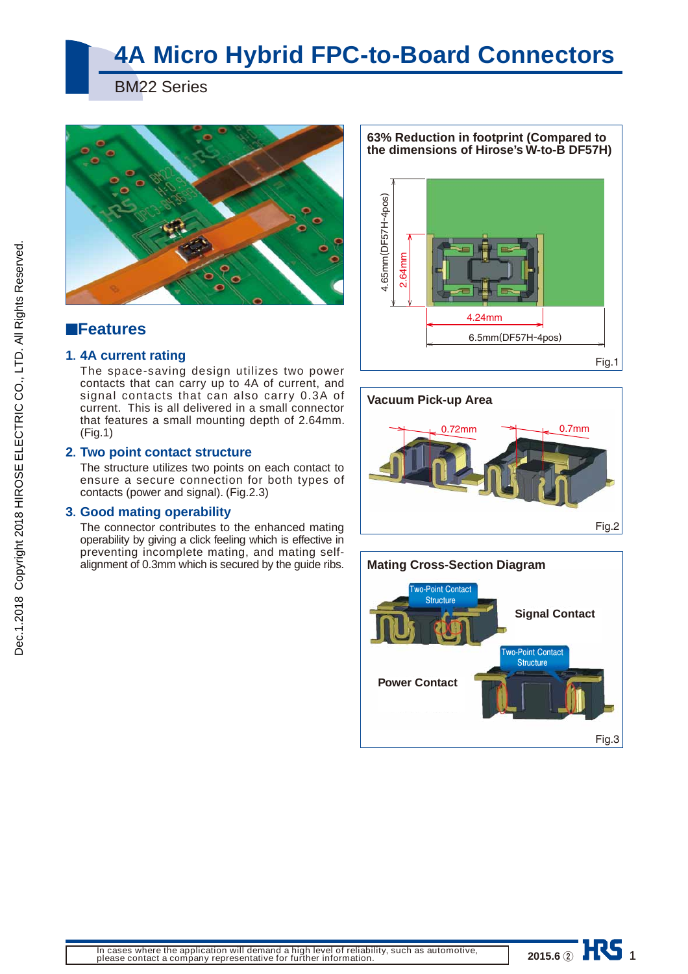# **4A Micro Hybrid FPC-to-Board Connectors**

BM22 Series



### ■**Features**

#### **1. 4A current rating**

The space-saving design utilizes two power contacts that can carry up to 4A of current, and signal contacts that can also carry 0.3A of current. This is all delivered in a small connector that features a small mounting depth of 2.64mm. (Fig.1)

#### **2. Two point contact structure**

The structure utilizes two points on each contact to ensure a secure connection for both types of contacts (power and signal). (Fig.2.3)

#### **3. Good mating operability**

The connector contributes to the enhanced mating operability by giving a click feeling which is effective in preventing incomplete mating, and mating selfalignment of 0.3mm which is secured by the guide ribs.

**63% Reduction in footprint (Compared to the dimensions of Hirose's W-to-B DF57H)**







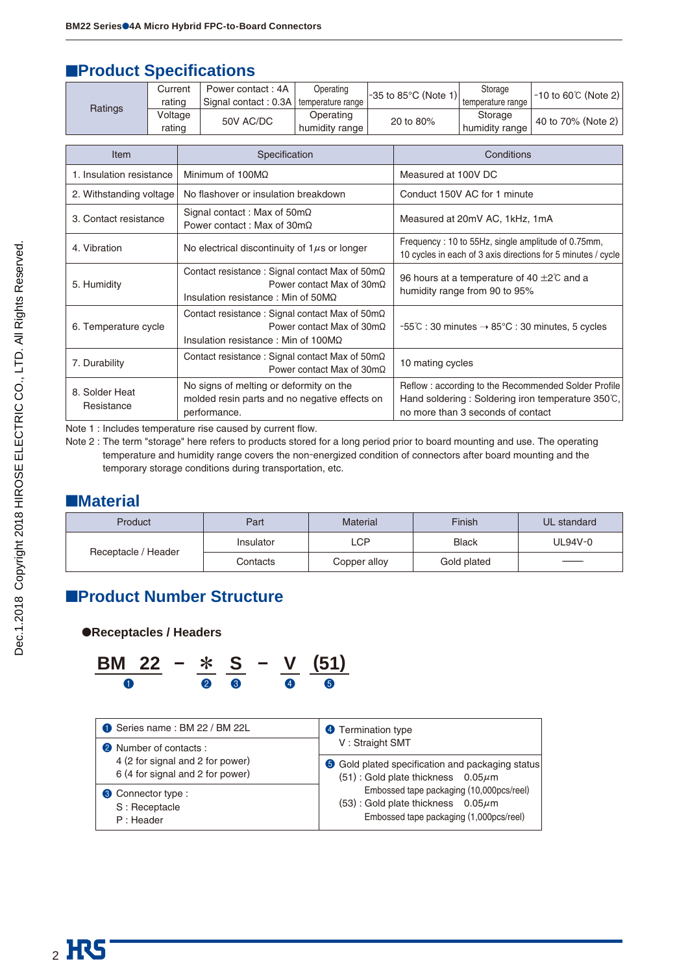### **EProduct Specifications**

|                                                                  | Current<br>rating |                                                                                                                                             | Power contact: 4A<br>Signal contact: 0.3A | Operating<br>temperature range |                                                                                                                                                | -35 to 85°C (Note 1)         | Storage<br>temperature range | $-10$ to 60°C (Note 2) |  |
|------------------------------------------------------------------|-------------------|---------------------------------------------------------------------------------------------------------------------------------------------|-------------------------------------------|--------------------------------|------------------------------------------------------------------------------------------------------------------------------------------------|------------------------------|------------------------------|------------------------|--|
| Ratings                                                          | Voltage<br>rating |                                                                                                                                             | 50V AC/DC                                 | Operating<br>humidity range    | 20 to 80%                                                                                                                                      |                              | Storage<br>humidity range    | 40 to 70% (Note 2)     |  |
| Item                                                             |                   | Specification                                                                                                                               |                                           |                                | Conditions                                                                                                                                     |                              |                              |                        |  |
| 1. Insulation resistance                                         |                   | Minimum of $100M\Omega$                                                                                                                     |                                           |                                | Measured at 100V DC                                                                                                                            |                              |                              |                        |  |
| 2. Withstanding voltage                                          |                   | No flashover or insulation breakdown                                                                                                        |                                           |                                |                                                                                                                                                | Conduct 150V AC for 1 minute |                              |                        |  |
| 3. Contact resistance                                            |                   | Signal contact: Max of $50 \text{m}\Omega$<br>Power contact: Max of $30m\Omega$                                                             |                                           |                                | Measured at 20mV AC, 1kHz, 1mA                                                                                                                 |                              |                              |                        |  |
| 4. Vibration                                                     |                   | No electrical discontinuity of $1\mu s$ or longer                                                                                           |                                           |                                | Frequency: 10 to 55Hz, single amplitude of 0.75mm,<br>10 cycles in each of 3 axis directions for 5 minutes / cycle                             |                              |                              |                        |  |
| 5. Humidity                                                      |                   | Contact resistance : Signal contact Max of 50mΩ<br>Power contact Max of $30 \text{m}\Omega$<br>Insulation resistance : Min of $50M\Omega$   |                                           |                                | 96 hours at a temperature of 40 $\pm$ 2°C and a<br>humidity range from 90 to 95%                                                               |                              |                              |                        |  |
| 6. Temperature cycle                                             |                   | Contact resistance : Signal contact Max of 50mΩ<br>Power contact Max of $30 \text{m}\Omega$<br>Insulation resistance : Min of 100M $\Omega$ |                                           |                                | $-55^{\circ}$ C: 30 minutes $\rightarrow$ 85 $^{\circ}$ C: 30 minutes, 5 cycles                                                                |                              |                              |                        |  |
| Contact resistance : Signal contact Max of 50mΩ<br>7. Durability |                   |                                                                                                                                             | Power contact Max of $30m\Omega$          |                                | 10 mating cycles                                                                                                                               |                              |                              |                        |  |
| 8. Solder Heat<br>Resistance                                     |                   | No signs of melting or deformity on the<br>molded resin parts and no negative effects on<br>performance.                                    |                                           |                                | Reflow : according to the Recommended Solder Profile<br>Hand soldering: Soldering iron temperature 350°C,<br>no more than 3 seconds of contact |                              |                              |                        |  |

Note 1 : Includes temperature rise caused by current flow.

Note 2 : The term "storage" here refers to products stored for a long period prior to board mounting and use. The operating temperature and humidity range covers the non-energized condition of connectors after board mounting and the temporary storage conditions during transportation, etc.

### ■**Material**

| Product             | Part      | Material     | Finish       | UL standard |  |
|---------------------|-----------|--------------|--------------|-------------|--|
|                     | Insulator | <b>LCP</b>   | <b>Black</b> | UL94V-0     |  |
| Receptacle / Header | Contacts  | Copper alloy | Gold plated  | ----------  |  |

### ■**Product Number Structure**

#### ●**Receptacles / Headers**

$$
\frac{BM \ 22}{9} - \frac{*}{9} \frac{S}{9} - \frac{V}{9} \frac{(51)}{9}
$$

| Series name: BM 22 / BM 22L      | 4 Termination type                                      |  |  |  |  |
|----------------------------------|---------------------------------------------------------|--|--|--|--|
| <b>2</b> Number of contacts:     | V: Straight SMT                                         |  |  |  |  |
| 4 (2 for signal and 2 for power) | <b>6</b> Gold plated specification and packaging status |  |  |  |  |
| 6 (4 for signal and 2 for power) | $(51)$ : Gold plate thickness 0.05 $\mu$ m              |  |  |  |  |
| <b>3</b> Connector type :        | Embossed tape packaging (10,000pcs/reel)                |  |  |  |  |
| S: Receptacle                    | (53): Gold plate thickness $0.05\mu$ m                  |  |  |  |  |
| P: Header                        | Embossed tape packaging (1,000pcs/reel)                 |  |  |  |  |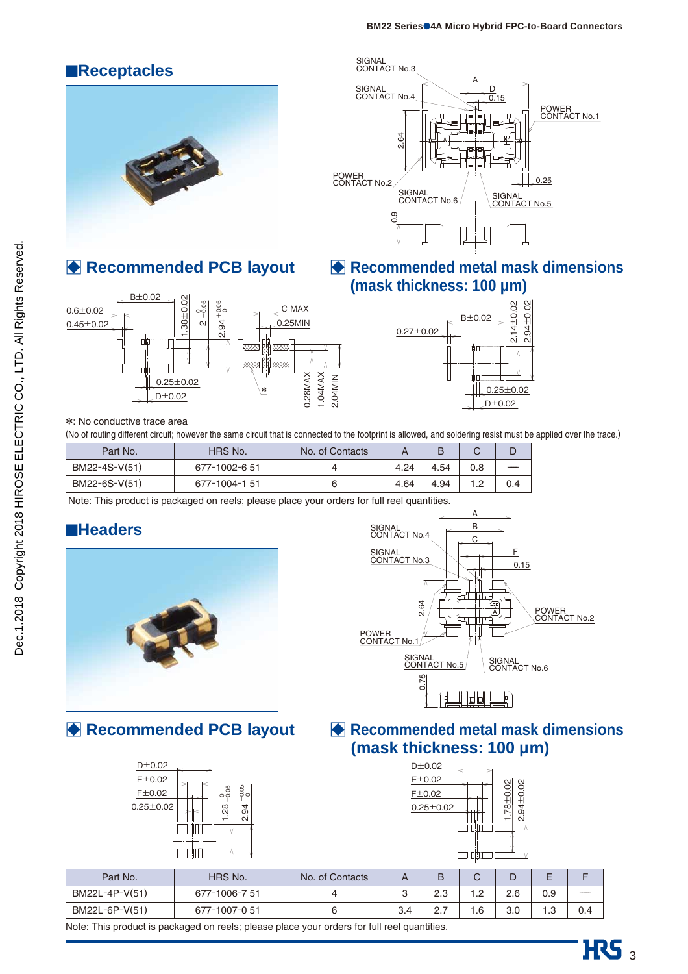### ■**Receptacles**



□ **Recommended PCB layout**





□ **Recommended metal mask dimensions (mask thickness: 100 µm)** 



#### \*: No conductive trace area

(No of routing different circuit; however the same circuit that is connected to the footprint is allowed, and soldering resist must be applied over the trace.)

| Part No.      | HRS No.       | No. of Contacts |      |      |     |     |
|---------------|---------------|-----------------|------|------|-----|-----|
| BM22-4S-V(51) | 677-1002-6 51 |                 | 4.24 | 4.54 |     |     |
| BM22-6S-V(51) | 677-1004-151  |                 | 4.64 | 4.94 | 1.2 | 0.4 |

Note: This product is packaged on reels; please place your orders for full reel quantities.

### ■**Headers**



### □ **Recommended PCB layout**





### □ **Recommended metal mask dimensions (mask thickness: 100 µm)**

| $8 + 0.02$ |
|------------|
| 2.94±0.02  |
|            |
|            |
|            |
|            |

| Part No.       | <b>HRS No.</b> | No. of Contacts |     | В  | U            |     |      |     |
|----------------|----------------|-----------------|-----|----|--------------|-----|------|-----|
| BM22L-4P-V(51) | 677-1006-7 51  |                 |     | ົດ | . <u>. .</u> | 2.6 | 0.9  |     |
| BM22L-6P-V(51) | 677-1007-051   |                 | 3.4 |    | . 6          | 3.0 | ن. ا | 0.4 |

Note: This product is packaged on reels; please place your orders for full reel quantities.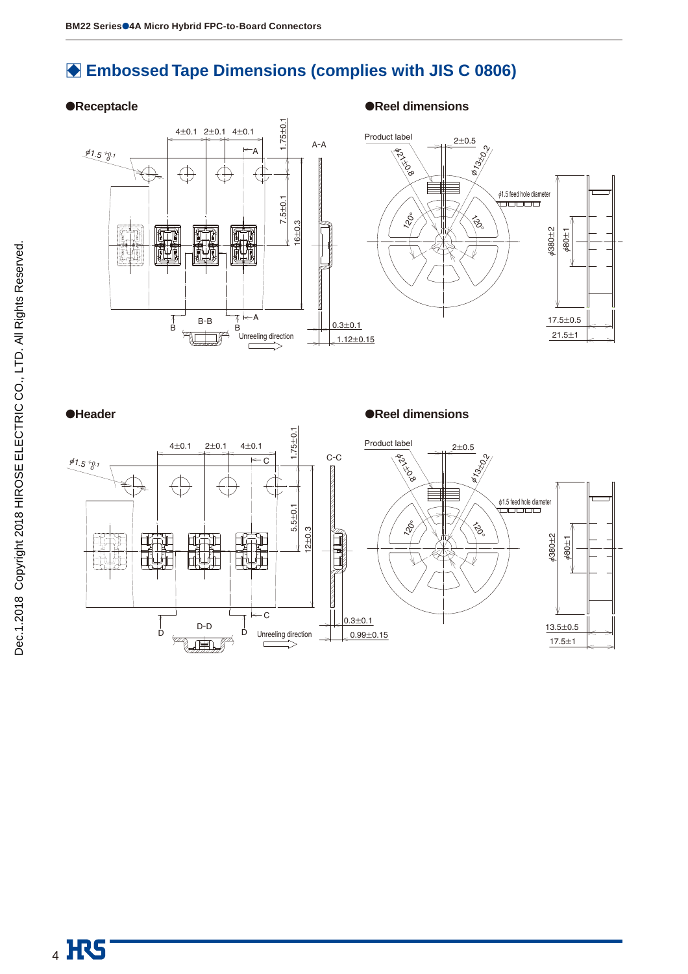### □ **Embossed Tape Dimensions (complies with JIS C 0806)**





●**Header** ●**Reel dimensions** 

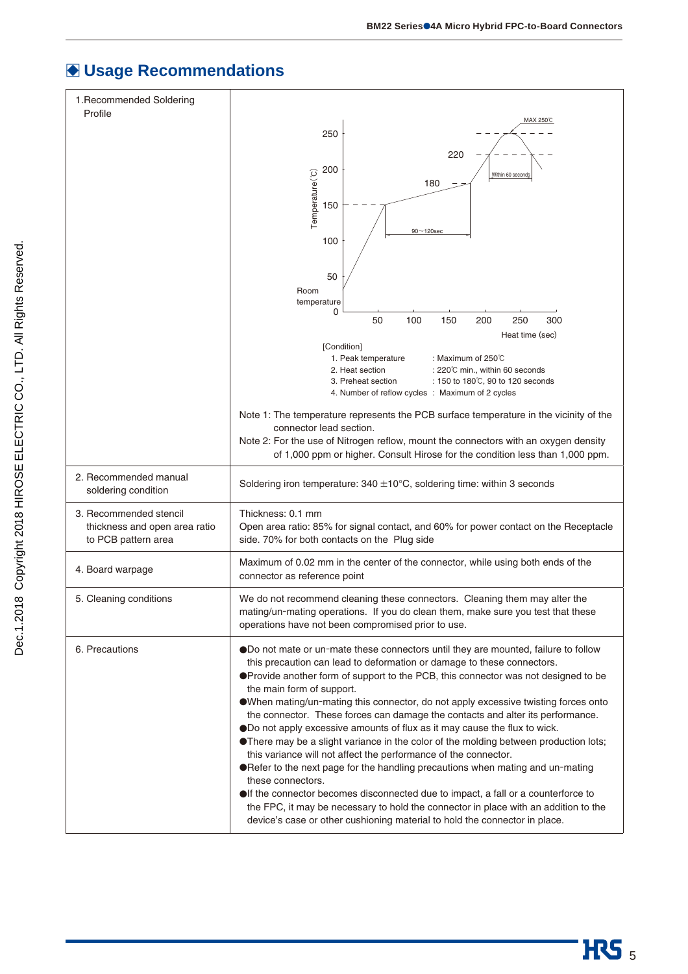## □ **Usage Recommendations**

| 1. Recommended Soldering<br>Profile                                            |                                                                                                                                                                                                                                                                                                                                                                                                                                                                                                                                                                                                                                                                                                                                                                                     |
|--------------------------------------------------------------------------------|-------------------------------------------------------------------------------------------------------------------------------------------------------------------------------------------------------------------------------------------------------------------------------------------------------------------------------------------------------------------------------------------------------------------------------------------------------------------------------------------------------------------------------------------------------------------------------------------------------------------------------------------------------------------------------------------------------------------------------------------------------------------------------------|
|                                                                                | MAX 250℃<br>250                                                                                                                                                                                                                                                                                                                                                                                                                                                                                                                                                                                                                                                                                                                                                                     |
|                                                                                | 220                                                                                                                                                                                                                                                                                                                                                                                                                                                                                                                                                                                                                                                                                                                                                                                 |
|                                                                                | 200<br>Within 60 seconds                                                                                                                                                                                                                                                                                                                                                                                                                                                                                                                                                                                                                                                                                                                                                            |
|                                                                                | 180                                                                                                                                                                                                                                                                                                                                                                                                                                                                                                                                                                                                                                                                                                                                                                                 |
|                                                                                | Temperature <sup>(°C)</sup><br>150                                                                                                                                                                                                                                                                                                                                                                                                                                                                                                                                                                                                                                                                                                                                                  |
|                                                                                | $90 - 120$ sec                                                                                                                                                                                                                                                                                                                                                                                                                                                                                                                                                                                                                                                                                                                                                                      |
|                                                                                | 100                                                                                                                                                                                                                                                                                                                                                                                                                                                                                                                                                                                                                                                                                                                                                                                 |
|                                                                                | 50                                                                                                                                                                                                                                                                                                                                                                                                                                                                                                                                                                                                                                                                                                                                                                                  |
|                                                                                | Room<br>temperature                                                                                                                                                                                                                                                                                                                                                                                                                                                                                                                                                                                                                                                                                                                                                                 |
|                                                                                | 0<br>100<br>50<br>150<br>200<br>250<br>300                                                                                                                                                                                                                                                                                                                                                                                                                                                                                                                                                                                                                                                                                                                                          |
|                                                                                | Heat time (sec)                                                                                                                                                                                                                                                                                                                                                                                                                                                                                                                                                                                                                                                                                                                                                                     |
|                                                                                | [Condition]<br>1. Peak temperature<br>: Maximum of $250^{\circ}$ C                                                                                                                                                                                                                                                                                                                                                                                                                                                                                                                                                                                                                                                                                                                  |
|                                                                                | 2. Heat section<br>: 220°C min., within 60 seconds<br>: 150 to 180°C, 90 to 120 seconds<br>3. Preheat section                                                                                                                                                                                                                                                                                                                                                                                                                                                                                                                                                                                                                                                                       |
|                                                                                | 4. Number of reflow cycles : Maximum of 2 cycles                                                                                                                                                                                                                                                                                                                                                                                                                                                                                                                                                                                                                                                                                                                                    |
|                                                                                | Note 1: The temperature represents the PCB surface temperature in the vicinity of the                                                                                                                                                                                                                                                                                                                                                                                                                                                                                                                                                                                                                                                                                               |
|                                                                                | connector lead section.<br>Note 2: For the use of Nitrogen reflow, mount the connectors with an oxygen density                                                                                                                                                                                                                                                                                                                                                                                                                                                                                                                                                                                                                                                                      |
|                                                                                | of 1,000 ppm or higher. Consult Hirose for the condition less than 1,000 ppm.                                                                                                                                                                                                                                                                                                                                                                                                                                                                                                                                                                                                                                                                                                       |
| 2. Recommended manual<br>soldering condition                                   | Soldering iron temperature: $340 \pm 10^{\circ}$ C, soldering time: within 3 seconds                                                                                                                                                                                                                                                                                                                                                                                                                                                                                                                                                                                                                                                                                                |
| 3. Recommended stencil<br>thickness and open area ratio<br>to PCB pattern area | Thickness: 0.1 mm<br>Open area ratio: 85% for signal contact, and 60% for power contact on the Receptacle<br>side. 70% for both contacts on the Plug side                                                                                                                                                                                                                                                                                                                                                                                                                                                                                                                                                                                                                           |
| 4. Board warpage                                                               | Maximum of 0.02 mm in the center of the connector, while using both ends of the<br>connector as reference point                                                                                                                                                                                                                                                                                                                                                                                                                                                                                                                                                                                                                                                                     |
| 5. Cleaning conditions                                                         | We do not recommend cleaning these connectors. Cleaning them may alter the<br>mating/un-mating operations. If you do clean them, make sure you test that these<br>operations have not been compromised prior to use.                                                                                                                                                                                                                                                                                                                                                                                                                                                                                                                                                                |
| 6. Precautions                                                                 | ODo not mate or un-mate these connectors until they are mounted, failure to follow<br>this precaution can lead to deformation or damage to these connectors.<br>●Provide another form of support to the PCB, this connector was not designed to be<br>the main form of support.<br>OWhen mating/un-mating this connector, do not apply excessive twisting forces onto<br>the connector. These forces can damage the contacts and alter its performance.<br>ODo not apply excessive amounts of flux as it may cause the flux to wick.<br>● There may be a slight variance in the color of the molding between production lots;<br>this variance will not affect the performance of the connector.<br>● Refer to the next page for the handling precautions when mating and un-mating |
|                                                                                | these connectors.<br>If the connector becomes disconnected due to impact, a fall or a counterforce to<br>the FPC, it may be necessary to hold the connector in place with an addition to the<br>device's case or other cushioning material to hold the connector in place.                                                                                                                                                                                                                                                                                                                                                                                                                                                                                                          |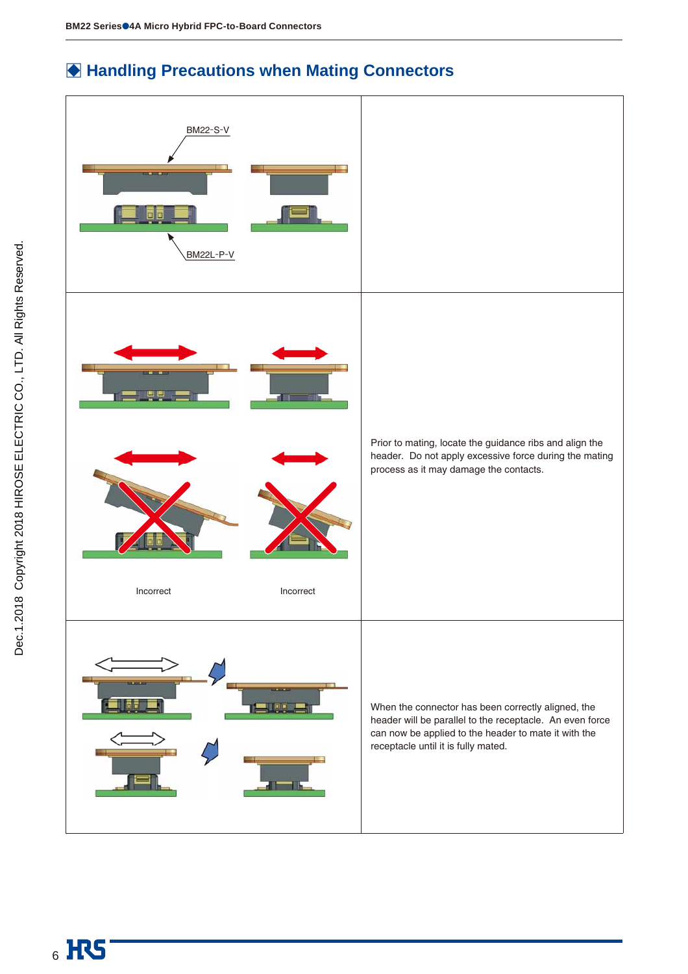### **● Handling Precautions when Mating Connectors**

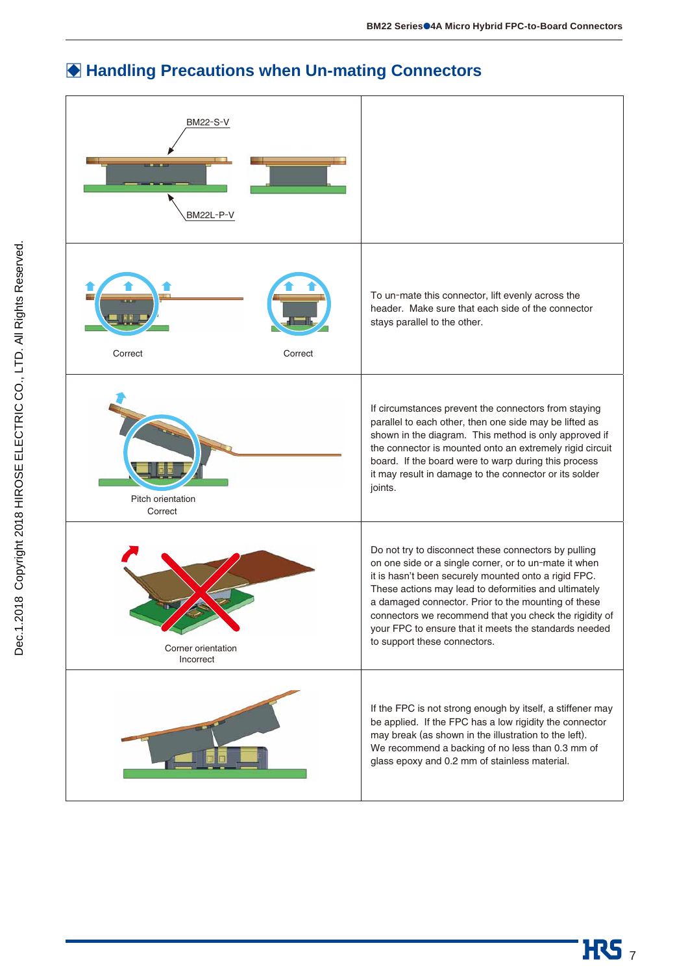## **◆ Handling Precautions when Un-mating Connectors**

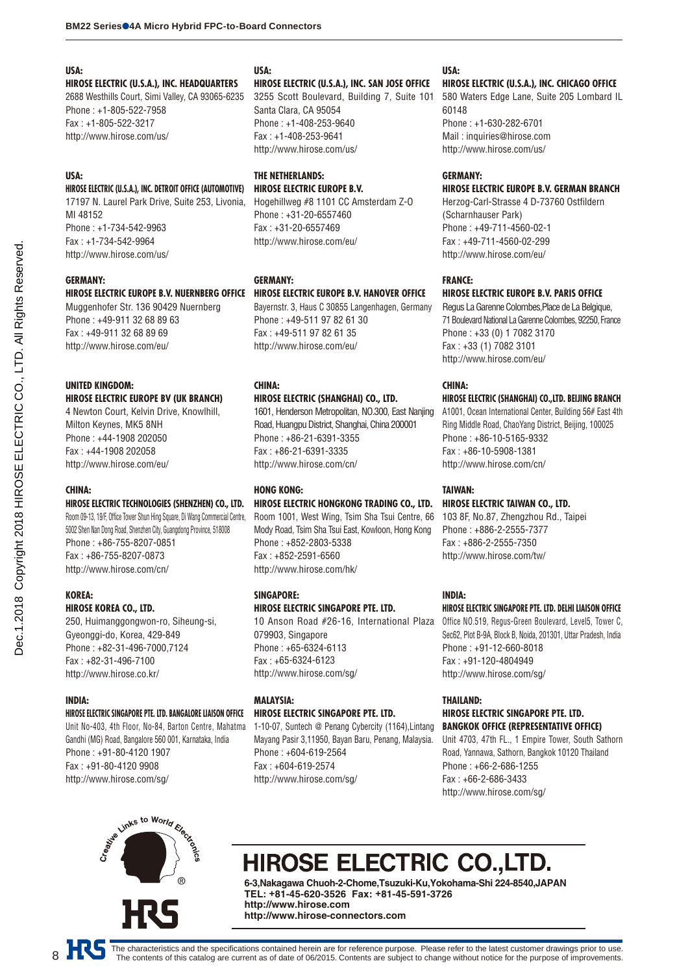#### **USA:**

**HIROSE ELECTRIC (U.S.A.), INC. HEADQUARTERS** 2688 Westhills Court, Simi Valley, CA 93065-6235 Phone : +1-805-522-7958 Fax : +1-805-522-3217 http://www.hirose.com/us/

#### **USA:**

#### **HIROSE ELECTRIC (U.S.A.), INC. DETROIT OFFICE (AUTOMOTIVE)**

17197 N. Laurel Park Drive, Suite 253, Livonia, MI 48152 Phone : +1-734-542-9963 Fax : +1-734-542-9964 http://www.hirose.com/us/

#### **GERMANY:**

#### **HIROSE ELECTRIC EUROPE B.V. NUERNBERG OFFICE HIROSE ELECTRIC EUROPE B.V. HANOVER OFFICE**

Muggenhofer Str. 136 90429 Nuernberg Phone : +49-911 32 68 89 63 Fax : +49-911 32 68 89 69 http://www.hirose.com/eu/

### **UNITED KINGDOM:**

**HIROSE ELECTRIC EUROPE BV (UK BRANCH)** 4 Newton Court, Kelvin Drive, Knowlhill, Milton Keynes, MK5 8NH Phone : +44-1908 202050 Fax : +44-1908 202058 http://www.hirose.com/eu/

### **CHINA:**

Dec.1.2018 Copyright 2018 HIROSE ELECTRIC CO., LTD. All Rights Reserved. Dec.1.2018 Copyright 2018 HIROSE ELECTRIC CO., LTD. All Rights Reserved.

#### **HIROSE ELECTRIC TECHNOLOGIES (SHENZHEN) CO., LTD.**

Room 09-13, 19/F, Office Tower Shun Hing Square, Di Wang Commercial Centre, 5002 Shen Nan Dong Road, Shenzhen City, Guangdong Province, 518008 Phone : +86-755-8207-0851 Fax : +86-755-8207-0873 http://www.hirose.com/cn/

#### **KOREA:**

#### **HIROSE KOREA CO., LTD.**

250, Huimanggongwon-ro, Siheung-si, Gyeonggi-do, Korea, 429-849 Phone : +82-31-496-7000,7124 Fax : +82-31-496-7100 http://www.hirose.co.kr/

#### **INDIA:**

#### **HIROSE ELECTRIC SINGAPORE PTE. LTD. BANGALORE LIAISON OFFICE**

Unit No-403, 4th Floor, No-84, Barton Centre, Mahatma Gandhi (MG) Road, Bangalore 560 001, Karnataka, India Phone : +91-80-4120 1907 Fax : +91-80-4120 9908 http://www.hirose.com/sg/

### **USA:**

#### **HIROSE ELECTRIC (U.S.A.), INC. SAN JOSE OFFICE**

3255 Scott Boulevard, Building 7, Suite 101 Santa Clara, CA 95054 Phone : +1-408-253-9640 Fax : +1-408-253-9641 http://www.hirose.com/us/

#### **THE NETHERLANDS: HIROSE ELECTRIC EUROPE B.V.**

Hogehillweg #8 1101 CC Amsterdam Z-O Phone : +31-20-6557460 Fax : +31-20-6557469 http://www.hirose.com/eu/

#### **GERMANY:**

Bayernstr. 3, Haus C 30855 Langenhagen, Germany Phone : +49-511 97 82 61 30 Fax : +49-511 97 82 61 35 http://www.hirose.com/eu/

#### **CHINA:**

#### **HIROSE ELECTRIC (SHANGHAI) CO., LTD.**

1601, Henderson Metropolitan, NO.300, East Nanjing Road, Huangpu District, Shanghai, China 200001 Phone : +86-21-6391-3355 Fax : +86-21-6391-3335 http://www.hirose.com/cn/

#### **HONG KONG:**

### **HIROSE ELECTRIC HONGKONG TRADING CO., LTD.**

Room 1001, West Wing, Tsim Sha Tsui Centre, 66 Mody Road, Tsim Sha Tsui East, Kowloon, Hong Kong Phone : +852-2803-5338 Fax : +852-2591-6560 http://www.hirose.com/hk/

#### **SINGAPORE:**

#### **HIROSE ELECTRIC SINGAPORE PTE. LTD.**

10 Anson Road #26-16, International Plaza 079903, Singapore Phone : +65-6324-6113 Fax : +65-6324-6123 http://www.hirose.com/sg/

### **MALAYSIA:**

#### **HIROSE ELECTRIC SINGAPORE PTE. LTD.**

1-10-07, Suntech @ Penang Cybercity (1164),Lintang Mayang Pasir 3,11950, Bayan Baru, Penang, Malaysia. Phone : +604-619-2564 Fax : +604-619-2574 http://www.hirose.com/sg/

#### **USA:**

#### **HIROSE ELECTRIC (U.S.A.), INC. CHICAGO OFFICE**

580 Waters Edge Lane, Suite 205 Lombard IL 60148 Phone : +1-630-282-6701 Mail : inquiries@hirose.com http://www.hirose.com/us/

#### **GERMANY:**

#### **HIROSE ELECTRIC EUROPE B.V. GERMAN BRANCH**

Herzog-Carl-Strasse 4 D-73760 Ostfildern (Scharnhauser Park) Phone : +49-711-4560-02-1 Fax : +49-711-4560-02-299 http://www.hirose.com/eu/

#### **FRANCE:**

#### **HIROSE ELECTRIC EUROPE B.V. PARIS OFFICE**

Regus La Garenne Colombes,Place de La Belgique, 71 Boulevard National La Garenne Colombes, 92250, France Phone : +33 (0) 1 7082 3170 Fax : +33 (1) 7082 3101 http://www.hirose.com/eu/

#### **CHINA:**

#### **HIROSE ELECTRIC (SHANGHAI) CO.,LTD. BEIJING BRANCH**

A1001, Ocean International Center, Building 56# East 4th Ring Middle Road, ChaoYang District, Beijing, 100025 Phone : +86-10-5165-9332 Fax : +86-10-5908-1381 http://www.hirose.com/cn/

#### **TAIWAN:**

#### **HIROSE ELECTRIC TAIWAN CO., LTD.**

103 8F, No.87, Zhengzhou Rd., Taipei Phone : +886-2-2555-7377 Fax : +886-2-2555-7350 http://www.hirose.com/tw/

#### **INDIA:**

#### **HIROSE ELECTRIC SINGAPORE PTE. LTD. DELHI LIAISON OFFICE**

Office NO.519, Regus-Green Boulevard, Level5, Tower C, Sec62, Plot B-9A, Block B, Noida, 201301, Uttar Pradesh, India Phone : +91-12-660-8018 Fax : +91-120-4804949 http://www.hirose.com/sg/

#### **THAILAND:**

#### **HIROSE ELECTRIC SINGAPORE PTE. LTD. BANGKOK OFFICE (REPRESENTATIVE OFFICE)**

Unit 4703, 47th FL., 1 Empire Tower, South Sathorn Road, Yannawa, Sathorn, Bangkok 10120 Thailand Phone : +66-2-686-1255 Fax : +66-2-686-3433 http://www.hirose.com/sg/



# HIROSE ELECTRIC CO.,LTD.

**6-3,Nakagawa Chuoh-2-Chome,Tsuzuki-Ku,Yokohama-Shi 224-8540,JAPAN TEL: +81-45-620-3526 Fax: +81-45-591-3726 http://www.hirose.com http://www.hirose-connectors.com**

8